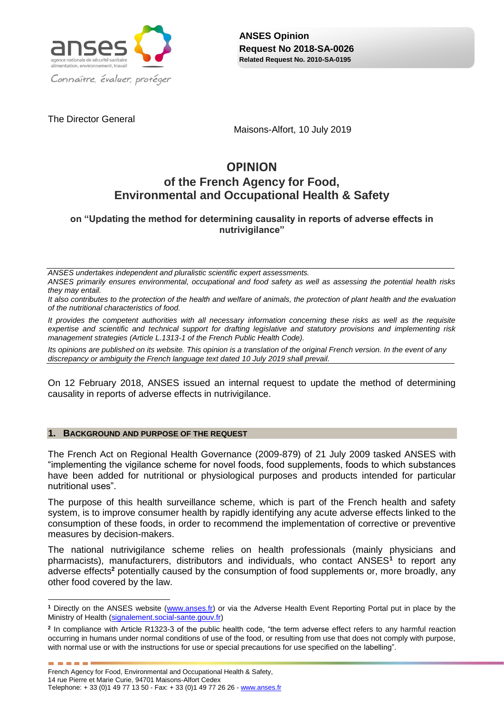

The Director General

Maisons-Alfort, 10 July 2019

# **OPINION of the French Agency for Food, Environmental and Occupational Health & Safety**

**on "Updating the method for determining causality in reports of adverse effects in nutrivigilance"**

*ANSES undertakes independent and pluralistic scientific expert assessments.*

*ANSES primarily ensures environmental, occupational and food safety as well as assessing the potential health risks they may entail.*

*It also contributes to the protection of the health and welfare of animals, the protection of plant health and the evaluation of the nutritional characteristics of food.*

*It provides the competent authorities with all necessary information concerning these risks as well as the requisite expertise and scientific and technical support for drafting legislative and statutory provisions and implementing risk management strategies (Article L.1313-1 of the French Public Health Code).* 

*Its opinions are published on its website. This opinion is a translation of the original French version. In the event of any discrepancy or ambiguity the French language text dated 10 July 2019 shall prevail.*

On 12 February 2018, ANSES issued an internal request to update the method of determining causality in reports of adverse effects in nutrivigilance.

#### **1. BACKGROUND AND PURPOSE OF THE REQUEST**

The French Act on Regional Health Governance (2009-879) of 21 July 2009 tasked ANSES with "implementing the vigilance scheme for novel foods, food supplements, foods to which substances have been added for nutritional or physiological purposes and products intended for particular nutritional uses".

The purpose of this health surveillance scheme, which is part of the French health and safety system, is to improve consumer health by rapidly identifying any acute adverse effects linked to the consumption of these foods, in order to recommend the implementation of corrective or preventive measures by decision-makers.

The national nutrivigilance scheme relies on health professionals (mainly physicians and pharmacists), manufacturers, distributors and individuals, who contact ANSES**<sup>1</sup>** to report any adverse effects**<sup>2</sup>** potentially caused by the consumption of food supplements or, more broadly, any other food covered by the law.

1

**The Committee** 

**<sup>1</sup>** Directly on the ANSES website [\(www.anses.fr\)](http://www.anses.fr/) or via the Adverse Health Event Reporting Portal put in place by the Ministry of Health [\(signalement.social-sante.gouv.fr\)](https://signalement.social-sante.gouv.fr/)

**<sup>2</sup>** In compliance with Article R1323-3 of the public health code, "the term adverse effect refers to any harmful reaction occurring in humans under normal conditions of use of the food, or resulting from use that does not comply with purpose, with normal use or with the instructions for use or special precautions for use specified on the labelling".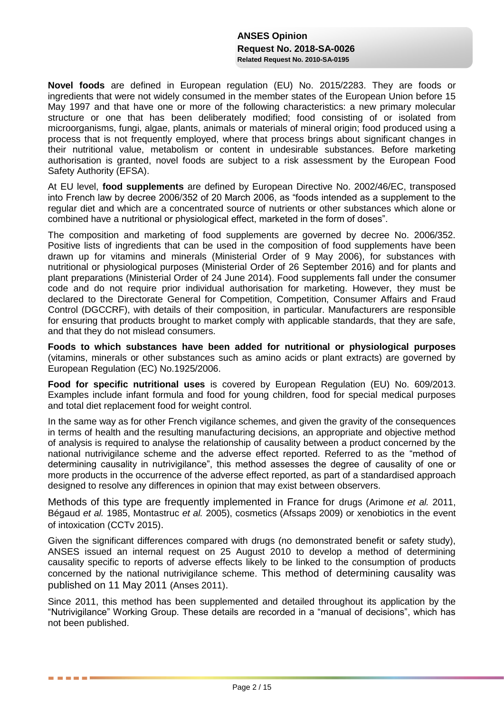**Novel foods** are defined in European regulation (EU) No. 2015/2283. They are foods or ingredients that were not widely consumed in the member states of the European Union before 15 May 1997 and that have one or more of the following characteristics: a new primary molecular structure or one that has been deliberately modified; food consisting of or isolated from microorganisms, fungi, algae, plants, animals or materials of mineral origin; food produced using a process that is not frequently employed, where that process brings about significant changes in their nutritional value, metabolism or content in undesirable substances. Before marketing authorisation is granted, novel foods are subject to a risk assessment by the European Food Safety Authority (EFSA).

At EU level, **food supplements** are defined by European Directive No. 2002/46/EC, transposed into French law by decree 2006/352 of 20 March 2006, as "foods intended as a supplement to the regular diet and which are a concentrated source of nutrients or other substances which alone or combined have a nutritional or physiological effect, marketed in the form of doses".

The composition and marketing of food supplements are governed by decree No. 2006/352. Positive lists of ingredients that can be used in the composition of food supplements have been drawn up for vitamins and minerals (Ministerial Order of 9 May 2006), for substances with nutritional or physiological purposes (Ministerial Order of 26 September 2016) and for plants and plant preparations (Ministerial Order of 24 June 2014). Food supplements fall under the consumer code and do not require prior individual authorisation for marketing. However, they must be declared to the Directorate General for Competition, Competition, Consumer Affairs and Fraud Control (DGCCRF), with details of their composition, in particular. Manufacturers are responsible for ensuring that products brought to market comply with applicable standards, that they are safe. and that they do not mislead consumers.

**Foods to which substances have been added for nutritional or physiological purposes**  (vitamins, minerals or other substances such as amino acids or plant extracts) are governed by European Regulation (EC) No.1925/2006.

**Food for specific nutritional uses** is covered by European Regulation (EU) No. 609/2013. Examples include infant formula and food for young children, food for special medical purposes and total diet replacement food for weight control.

In the same way as for other French vigilance schemes, and given the gravity of the consequences in terms of health and the resulting manufacturing decisions, an appropriate and objective method of analysis is required to analyse the relationship of causality between a product concerned by the national nutrivigilance scheme and the adverse effect reported. Referred to as the "method of determining causality in nutrivigilance", this method assesses the degree of causality of one or more products in the occurrence of the adverse effect reported, as part of a standardised approach designed to resolve any differences in opinion that may exist between observers.

Methods of this type are frequently implemented in France for drugs (Arimone *et al.* 2011, Bégaud *et al.* 1985, Montastruc *et al.* 2005), cosmetics (Afssaps 2009) or xenobiotics in the event of intoxication (CCTv 2015).

Given the significant differences compared with drugs (no demonstrated benefit or safety study), ANSES issued an internal request on 25 August 2010 to develop a method of determining causality specific to reports of adverse effects likely to be linked to the consumption of products concerned by the national nutrivigilance scheme. This method of determining causality was published on 11 May 2011 (Anses 2011).

Since 2011, this method has been supplemented and detailed throughout its application by the "Nutrivigilance" Working Group. These details are recorded in a "manual of decisions", which has not been published.

**The Common State**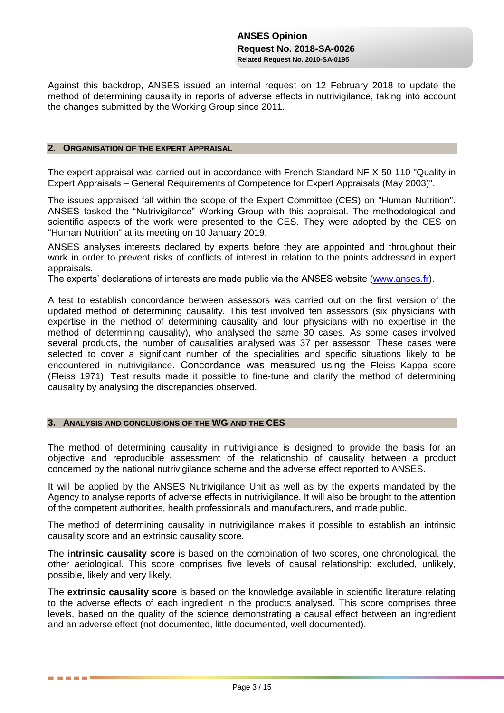Against this backdrop, ANSES issued an internal request on 12 February 2018 to update the method of determining causality in reports of adverse effects in nutrivigilance, taking into account the changes submitted by the Working Group since 2011.

#### **2. ORGANISATION OF THE EXPERT APPRAISAL**

The expert appraisal was carried out in accordance with French Standard NF X 50-110 "Quality in Expert Appraisals – General Requirements of Competence for Expert Appraisals (May 2003)".

The issues appraised fall within the scope of the Expert Committee (CES) on "Human Nutrition"*.*  ANSES tasked the "Nutrivigilance" Working Group with this appraisal. The methodological and scientific aspects of the work were presented to the CES. They were adopted by the CES on "Human Nutrition" at its meeting on 10 January 2019.

ANSES analyses interests declared by experts before they are appointed and throughout their work in order to prevent risks of conflicts of interest in relation to the points addressed in expert appraisals.

The experts' declarations of interests are made public via the ANSES website [\(www.anses.fr\)](http://www.anses.fr/).

A test to establish concordance between assessors was carried out on the first version of the updated method of determining causality. This test involved ten assessors (six physicians with expertise in the method of determining causality and four physicians with no expertise in the method of determining causality), who analysed the same 30 cases. As some cases involved several products, the number of causalities analysed was 37 per assessor. These cases were selected to cover a significant number of the specialities and specific situations likely to be encountered in nutrivigilance. Concordance was measured using the Fleiss Kappa score (Fleiss 1971). Test results made it possible to fine-tune and clarify the method of determining causality by analysing the discrepancies observed.

#### **3. ANALYSIS AND CONCLUSIONS OF THE WG AND THE CES**

**The Common State** 

The method of determining causality in nutrivigilance is designed to provide the basis for an objective and reproducible assessment of the relationship of causality between a product concerned by the national nutrivigilance scheme and the adverse effect reported to ANSES.

It will be applied by the ANSES Nutrivigilance Unit as well as by the experts mandated by the Agency to analyse reports of adverse effects in nutrivigilance. It will also be brought to the attention of the competent authorities, health professionals and manufacturers, and made public.

The method of determining causality in nutrivigilance makes it possible to establish an intrinsic causality score and an extrinsic causality score.

The **intrinsic causality score** is based on the combination of two scores, one chronological, the other aetiological. This score comprises five levels of causal relationship: excluded, unlikely, possible, likely and very likely.

The **extrinsic causality score** is based on the knowledge available in scientific literature relating to the adverse effects of each ingredient in the products analysed. This score comprises three levels, based on the quality of the science demonstrating a causal effect between an ingredient and an adverse effect (not documented, little documented, well documented).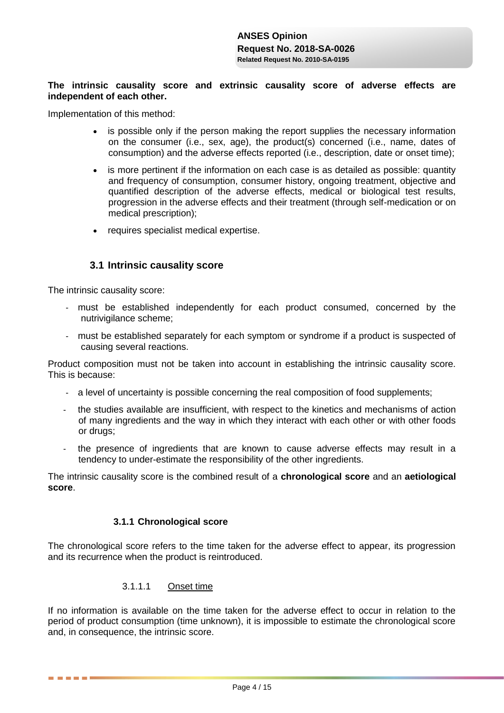### **The intrinsic causality score and extrinsic causality score of adverse effects are independent of each other.**

Implementation of this method:

- is possible only if the person making the report supplies the necessary information on the consumer (i.e., sex, age), the product(s) concerned (i.e., name, dates of consumption) and the adverse effects reported (i.e., description, date or onset time);
- is more pertinent if the information on each case is as detailed as possible: quantity and frequency of consumption, consumer history, ongoing treatment, objective and quantified description of the adverse effects, medical or biological test results, progression in the adverse effects and their treatment (through self-medication or on medical prescription);
- requires specialist medical expertise.

# **3.1 Intrinsic causality score**

The intrinsic causality score:

------

- must be established independently for each product consumed, concerned by the nutrivigilance scheme;
- must be established separately for each symptom or syndrome if a product is suspected of causing several reactions.

Product composition must not be taken into account in establishing the intrinsic causality score. This is because:

- a level of uncertainty is possible concerning the real composition of food supplements;
- the studies available are insufficient, with respect to the kinetics and mechanisms of action of many ingredients and the way in which they interact with each other or with other foods or drugs;
- the presence of ingredients that are known to cause adverse effects may result in a tendency to under-estimate the responsibility of the other ingredients.

The intrinsic causality score is the combined result of a **chronological score** and an **aetiological score**.

### **3.1.1 Chronological score**

The chronological score refers to the time taken for the adverse effect to appear, its progression and its recurrence when the product is reintroduced.

### 3.1.1.1 Onset time

If no information is available on the time taken for the adverse effect to occur in relation to the period of product consumption (time unknown), it is impossible to estimate the chronological score and, in consequence, the intrinsic score.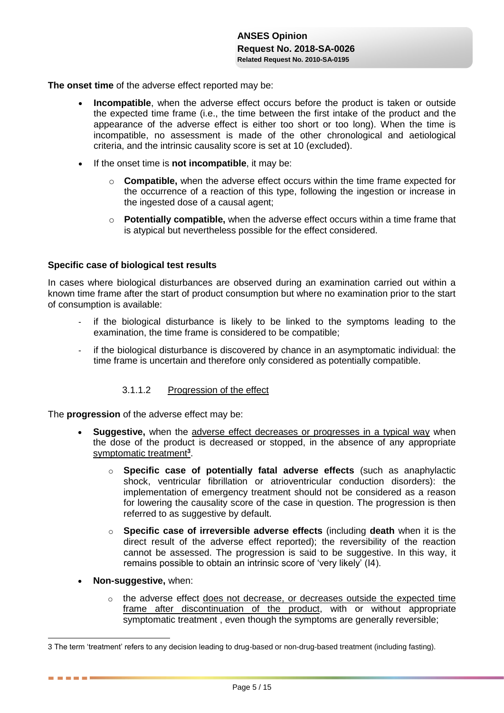**The onset time** of the adverse effect reported may be:

- **Incompatible**, when the adverse effect occurs before the product is taken or outside the expected time frame (i.e., the time between the first intake of the product and the appearance of the adverse effect is either too short or too long). When the time is incompatible, no assessment is made of the other chronological and aetiological criteria, and the intrinsic causality score is set at 10 (excluded).
- If the onset time is **not incompatible**, it may be:
	- o **Compatible,** when the adverse effect occurs within the time frame expected for the occurrence of a reaction of this type, following the ingestion or increase in the ingested dose of a causal agent;
	- o **Potentially compatible,** when the adverse effect occurs within a time frame that is atypical but nevertheless possible for the effect considered.

#### **Specific case of biological test results**

In cases where biological disturbances are observed during an examination carried out within a known time frame after the start of product consumption but where no examination prior to the start of consumption is available:

- if the biological disturbance is likely to be linked to the symptoms leading to the examination, the time frame is considered to be compatible;
- if the biological disturbance is discovered by chance in an asymptomatic individual: the time frame is uncertain and therefore only considered as potentially compatible.

### 3.1.1.2 Progression of the effect

The **progression** of the adverse effect may be:

- **Suggestive,** when the adverse effect decreases or progresses in a typical way when the dose of the product is decreased or stopped, in the absence of any appropriate symptomatic treatment**<sup>3</sup>** .
	- o **Specific case of potentially fatal adverse effects** (such as anaphylactic shock, ventricular fibrillation or atrioventricular conduction disorders): the implementation of emergency treatment should not be considered as a reason for lowering the causality score of the case in question. The progression is then referred to as suggestive by default.
	- o **Specific case of irreversible adverse effects** (including **death** when it is the direct result of the adverse effect reported); the reversibility of the reaction cannot be assessed. The progression is said to be suggestive. In this way, it remains possible to obtain an intrinsic score of 'very likely' (I4).
- **Non-suggestive,** when:

1

-----

o the adverse effect does not decrease, or decreases outside the expected time frame after discontinuation of the product, with or without appropriate symptomatic treatment , even though the symptoms are generally reversible;

<sup>3</sup> The term 'treatment' refers to any decision leading to drug-based or non-drug-based treatment (including fasting).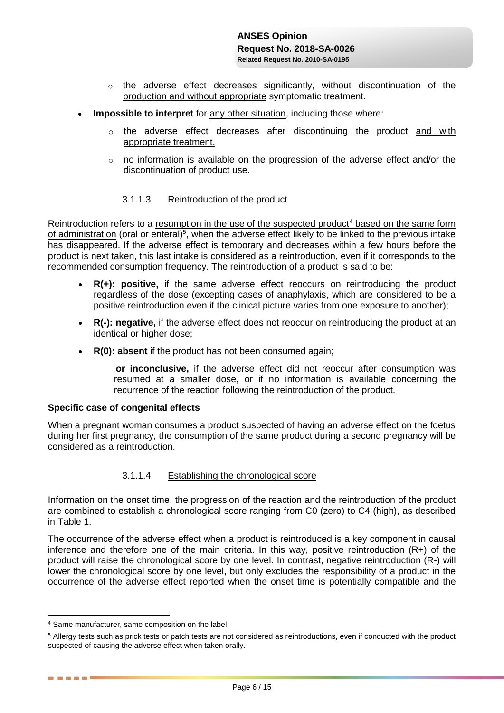- o the adverse effect decreases significantly, without discontinuation of the production and without appropriate symptomatic treatment.
- **Impossible to interpret** for any other situation, including those where:
	- o the adverse effect decreases after discontinuing the product and with appropriate treatment.
	- $\circ$  no information is available on the progression of the adverse effect and/or the discontinuation of product use.

#### 3.1.1.3 Reintroduction of the product

Reintroduction refers to a resumption in the use of the suspected product<sup>4</sup> based on the same form of administration (oral or enteral)<sup>5</sup>, when the adverse effect likely to be linked to the previous intake has disappeared. If the adverse effect is temporary and decreases within a few hours before the product is next taken, this last intake is considered as a reintroduction, even if it corresponds to the recommended consumption frequency. The reintroduction of a product is said to be:

- **R(+): positive,** if the same adverse effect reoccurs on reintroducing the product regardless of the dose (excepting cases of anaphylaxis, which are considered to be a positive reintroduction even if the clinical picture varies from one exposure to another);
- **R(-): negative,** if the adverse effect does not reoccur on reintroducing the product at an identical or higher dose;
- **R(0): absent** if the product has not been consumed again;

 **or inconclusive,** if the adverse effect did not reoccur after consumption was resumed at a smaller dose, or if no information is available concerning the recurrence of the reaction following the reintroduction of the product.

#### **Specific case of congenital effects**

When a pregnant woman consumes a product suspected of having an adverse effect on the foetus during her first pregnancy, the consumption of the same product during a second pregnancy will be considered as a reintroduction.

#### 3.1.1.4 Establishing the chronological score

Information on the onset time, the progression of the reaction and the reintroduction of the product are combined to establish a chronological score ranging from C0 (zero) to C4 (high), as described in Table 1.

The occurrence of the adverse effect when a product is reintroduced is a key component in causal inference and therefore one of the main criteria. In this way, positive reintroduction (R+) of the product will raise the chronological score by one level. In contrast, negative reintroduction (R-) will lower the chronological score by one level, but only excludes the responsibility of a product in the occurrence of the adverse effect reported when the onset time is potentially compatible and the

<u>.</u>

------

<sup>4</sup> Same manufacturer, same composition on the label.

**<sup>5</sup>** Allergy tests such as prick tests or patch tests are not considered as reintroductions, even if conducted with the product suspected of causing the adverse effect when taken orally.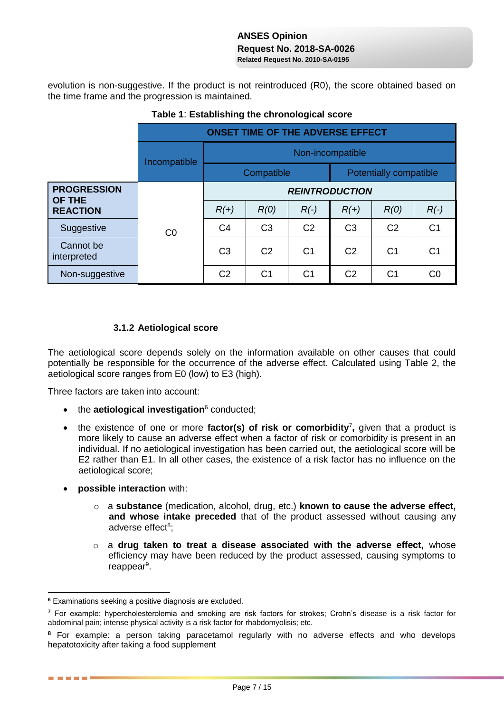evolution is non-suggestive. If the product is not reintroduced (R0), the score obtained based on the time frame and the progression is maintained.

|                                                        |              | <b>ONSET TIME OF THE ADVERSE EFFECT</b> |                |                |                        |                |                |  |  |  |
|--------------------------------------------------------|--------------|-----------------------------------------|----------------|----------------|------------------------|----------------|----------------|--|--|--|
|                                                        | Incompatible | Non-incompatible                        |                |                |                        |                |                |  |  |  |
|                                                        |              | Compatible                              |                |                | Potentially compatible |                |                |  |  |  |
| <b>PROGRESSION</b><br><b>OF THE</b><br><b>REACTION</b> | CO           | <b>REINTRODUCTION</b>                   |                |                |                        |                |                |  |  |  |
|                                                        |              | $R(+)$                                  | R(0)           | $R(\cdot)$     | $R(+)$                 | R(0)           | $R(\cdot)$     |  |  |  |
| Suggestive                                             |              | C <sub>4</sub>                          | C <sub>3</sub> | C <sub>2</sub> | C <sub>3</sub>         | C <sub>2</sub> | C <sub>1</sub> |  |  |  |
| Cannot be<br>interpreted                               |              | C <sub>3</sub>                          | C <sub>2</sub> | C <sub>1</sub> | C <sub>2</sub>         | C <sub>1</sub> | C <sub>1</sub> |  |  |  |
| Non-suggestive                                         |              | C <sub>2</sub>                          | C <sub>1</sub> | C1             | C <sub>2</sub>         | C <sub>1</sub> | C <sub>0</sub> |  |  |  |

**Table 1**: **Establishing the chronological score**

# **3.1.2 Aetiological score**

The aetiological score depends solely on the information available on other causes that could potentially be responsible for the occurrence of the adverse effect. Calculated using Table 2, the aetiological score ranges from E0 (low) to E3 (high).

Three factors are taken into account:

- the **aetiological investigation**<sup>6</sup> conducted;
- the existence of one or more **factor(s) of risk or comorbidity**<sup>7</sup>, given that a product is more likely to cause an adverse effect when a factor of risk or comorbidity is present in an individual. If no aetiological investigation has been carried out, the aetiological score will be E2 rather than E1. In all other cases, the existence of a risk factor has no influence on the aetiological score;
- **possible interaction** with:

<u>.</u>

. . . .

- o a **substance** (medication, alcohol, drug, etc.) **known to cause the adverse effect, and whose intake preceded** that of the product assessed without causing any adverse effect<sup>8</sup>;
- o a **drug taken to treat a disease associated with the adverse effect,** whose efficiency may have been reduced by the product assessed, causing symptoms to reappear<sup>9</sup>.

**<sup>6</sup>** Examinations seeking a positive diagnosis are excluded.

**<sup>7</sup>** For example: hypercholesterolemia and smoking are risk factors for strokes; Crohn's disease is a risk factor for abdominal pain; intense physical activity is a risk factor for rhabdomyolisis; etc.

**<sup>8</sup>** For example: a person taking paracetamol regularly with no adverse effects and who develops hepatotoxicity after taking a food supplement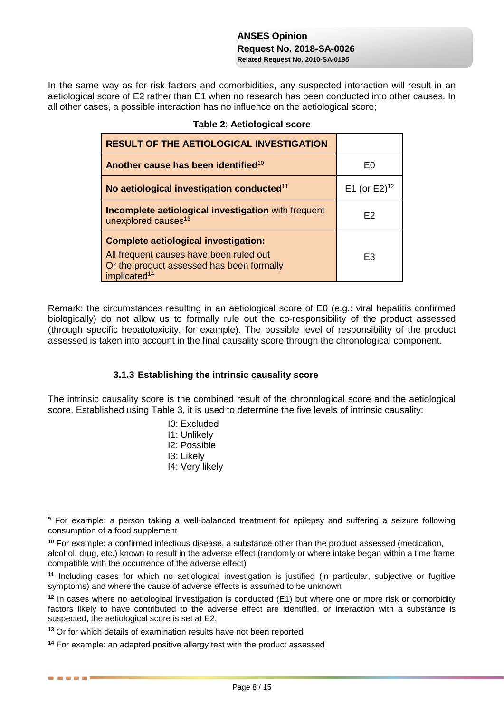In the same way as for risk factors and comorbidities, any suspected interaction will result in an aetiological score of E2 rather than E1 when no research has been conducted into other causes. In all other cases, a possible interaction has no influence on the aetiological score;

| <b>RESULT OF THE AETIOLOGICAL INVESTIGATION</b>                                                                                                                 |                             |
|-----------------------------------------------------------------------------------------------------------------------------------------------------------------|-----------------------------|
| Another cause has been identified <sup>10</sup>                                                                                                                 | F٥                          |
| No aetiological investigation conducted <sup>11</sup>                                                                                                           | E1 (or $E2$ ) <sup>12</sup> |
| Incomplete aetiological investigation with frequent<br>unexplored causes <sup>13</sup>                                                                          | F <sub>2</sub>              |
| <b>Complete aetiological investigation:</b><br>All frequent causes have been ruled out<br>Or the product assessed has been formally<br>implicated <sup>14</sup> | F3                          |

### **Table 2**: **Aetiological score**

Remark: the circumstances resulting in an aetiological score of E0 (e.g.: viral hepatitis confirmed biologically) do not allow us to formally rule out the co-responsibility of the product assessed (through specific hepatotoxicity, for example). The possible level of responsibility of the product assessed is taken into account in the final causality score through the chronological component.

### **3.1.3 Establishing the intrinsic causality score**

The intrinsic causality score is the combined result of the chronological score and the aetiological score. Established using Table 3, it is used to determine the five levels of intrinsic causality:

- I0: Excluded
- I1: Unlikely
- I2: Possible
- I3: Likely

1

. . . .

I4: Very likely

**<sup>13</sup>** Or for which details of examination results have not been reported

**<sup>9</sup>** For example: a person taking a well-balanced treatment for epilepsy and suffering a seizure following consumption of a food supplement

**<sup>10</sup>** For example: a confirmed infectious disease, a substance other than the product assessed (medication, alcohol, drug, etc.) known to result in the adverse effect (randomly or where intake began within a time frame compatible with the occurrence of the adverse effect)

**<sup>11</sup>** Including cases for which no aetiological investigation is justified (in particular, subjective or fugitive symptoms) and where the cause of adverse effects is assumed to be unknown

**<sup>12</sup>** In cases where no aetiological investigation is conducted (E1) but where one or more risk or comorbidity factors likely to have contributed to the adverse effect are identified, or interaction with a substance is suspected, the aetiological score is set at E2.

**<sup>14</sup>** For example: an adapted positive allergy test with the product assessed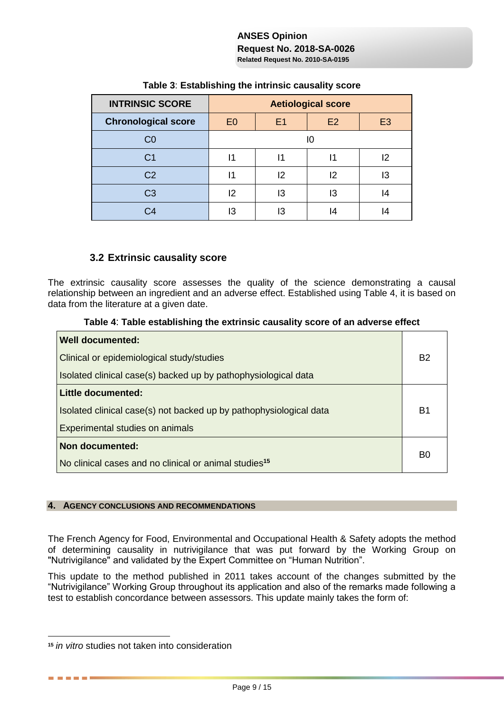| <b>INTRINSIC SCORE</b>     | <b>Aetiological score</b> |                |    |                |  |  |
|----------------------------|---------------------------|----------------|----|----------------|--|--|
| <b>Chronological score</b> | E <sub>0</sub>            | E <sub>1</sub> | E2 | E <sub>3</sub> |  |  |
| C0                         | IО                        |                |    |                |  |  |
| C1                         | 11                        | 11             | ۱1 | 12             |  |  |
| C <sub>2</sub>             | 11                        | 12             | 12 | 13             |  |  |
| C3                         | 2                         | IЗ             | IЗ | 14             |  |  |
| 34                         | IЗ                        | l3             | 14 |                |  |  |

# **Table 3**: **Establishing the intrinsic causality score**

# **3.2 Extrinsic causality score**

The extrinsic causality score assesses the quality of the science demonstrating a causal relationship between an ingredient and an adverse effect. Established using Table 4, it is based on data from the literature at a given date.

### **Table 4**: **Table establishing the extrinsic causality score of an adverse effect**

| <b>Well documented:</b>                                            |  |
|--------------------------------------------------------------------|--|
| Clinical or epidemiological study/studies                          |  |
| Isolated clinical case(s) backed up by pathophysiological data     |  |
| <b>Little documented:</b>                                          |  |
| Isolated clinical case(s) not backed up by pathophysiological data |  |
| Experimental studies on animals                                    |  |
| Non documented:                                                    |  |
| No clinical cases and no clinical or animal studies <sup>15</sup>  |  |

### **4. AGENCY CONCLUSIONS AND RECOMMENDATIONS**

The French Agency for Food, Environmental and Occupational Health & Safety adopts the method of determining causality in nutrivigilance that was put forward by the Working Group on "Nutrivigilance" and validated by the Expert Committee on "Human Nutrition".

This update to the method published in 2011 takes account of the changes submitted by the "Nutrivigilance" Working Group throughout its application and also of the remarks made following a test to establish concordance between assessors. This update mainly takes the form of:

1

. . . . . .

**<sup>15</sup>** *in vitro* studies not taken into consideration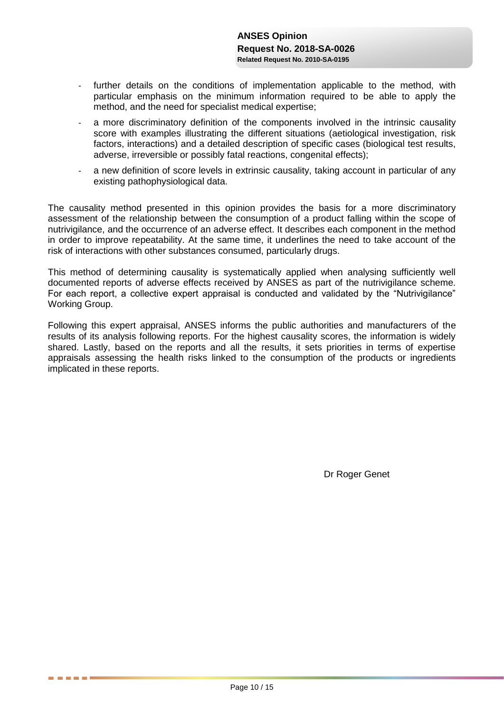- further details on the conditions of implementation applicable to the method, with particular emphasis on the minimum information required to be able to apply the method, and the need for specialist medical expertise;
- a more discriminatory definition of the components involved in the intrinsic causality score with examples illustrating the different situations (aetiological investigation, risk factors, interactions) and a detailed description of specific cases (biological test results, adverse, irreversible or possibly fatal reactions, congenital effects);
- a new definition of score levels in extrinsic causality, taking account in particular of any existing pathophysiological data.

The causality method presented in this opinion provides the basis for a more discriminatory assessment of the relationship between the consumption of a product falling within the scope of nutrivigilance, and the occurrence of an adverse effect. It describes each component in the method in order to improve repeatability. At the same time, it underlines the need to take account of the risk of interactions with other substances consumed, particularly drugs.

This method of determining causality is systematically applied when analysing sufficiently well documented reports of adverse effects received by ANSES as part of the nutrivigilance scheme. For each report, a collective expert appraisal is conducted and validated by the "Nutrivigilance" Working Group.

Following this expert appraisal, ANSES informs the public authorities and manufacturers of the results of its analysis following reports. For the highest causality scores, the information is widely shared. Lastly, based on the reports and all the results, it sets priorities in terms of expertise appraisals assessing the health risks linked to the consumption of the products or ingredients implicated in these reports.

Dr Roger Genet

. . . .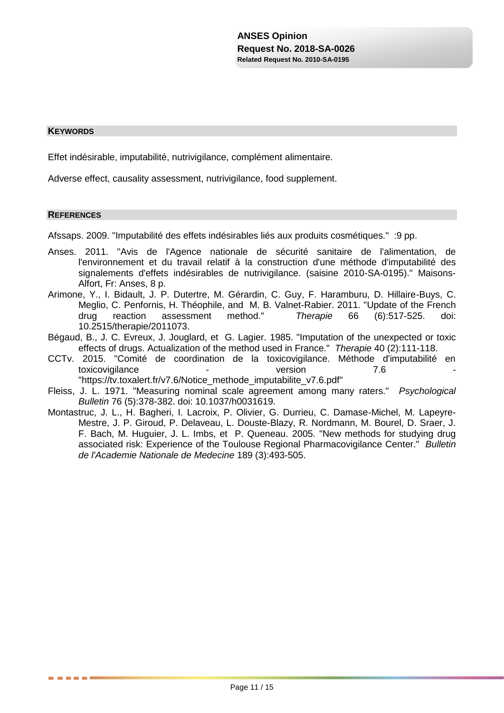#### **KEYWORDS**

Effet indésirable, imputabilité, nutrivigilance, complément alimentaire.

Adverse effect, causality assessment, nutrivigilance, food supplement.

#### **REFERENCES**

**THE REAL** 

Afssaps. 2009. "Imputabilité des effets indésirables liés aux produits cosmétiques." :9 pp.

- Anses. 2011. "Avis de l'Agence nationale de sécurité sanitaire de l'alimentation, de l'environnement et du travail relatif à la construction d'une méthode d'imputabilité des signalements d'effets indésirables de nutrivigilance. (saisine 2010-SA-0195)." Maisons-Alfort, Fr: Anses, 8 p.
- Arimone, Y., I. Bidault, J. P. Dutertre, M. Gérardin, C. Guy, F. Haramburu, D. Hillaire-Buys, C. Meglio, C. Penfornis, H. Théophile, and M. B. Valnet-Rabier. 2011. "Update of the French drug reaction assessment method." *Therapie* 66 (6):517-525. doi: 10.2515/therapie/2011073.
- Bégaud, B., J. C. Evreux, J. Jouglard, et G. Lagier. 1985. "Imputation of the unexpected or toxic effects of drugs. Actualization of the method used in France." *Therapie* 40 (2):111-118.
- CCTv. 2015. "Comité de coordination de la toxicovigilance. Méthode d'imputabilité en toxicovigilance **and the set of the set of the set of the set of the set of the set of the set of the set of the set of the set of the set of the set of the set of the set of the set of the set of the set of the set of the** "https://tv.toxalert.fr/v7.6/Notice\_methode\_imputabilite\_v7.6.pdf"
- Fleiss, J. L. 1971. "Measuring nominal scale agreement among many raters." *Psychological Bulletin* 76 (5):378-382. doi: 10.1037/h0031619.
- Montastruc, J. L., H. Bagheri, I. Lacroix, P. Olivier, G. Durrieu, C. Damase-Michel, M. Lapeyre-Mestre, J. P. Giroud, P. Delaveau, L. Douste-Blazy, R. Nordmann, M. Bourel, D. Sraer, J. F. Bach, M. Huguier, J. L. Imbs, et P. Queneau. 2005. "New methods for studying drug associated risk: Experience of the Toulouse Regional Pharmacovigilance Center." *Bulletin de l'Academie Nationale de Medecine* 189 (3):493-505.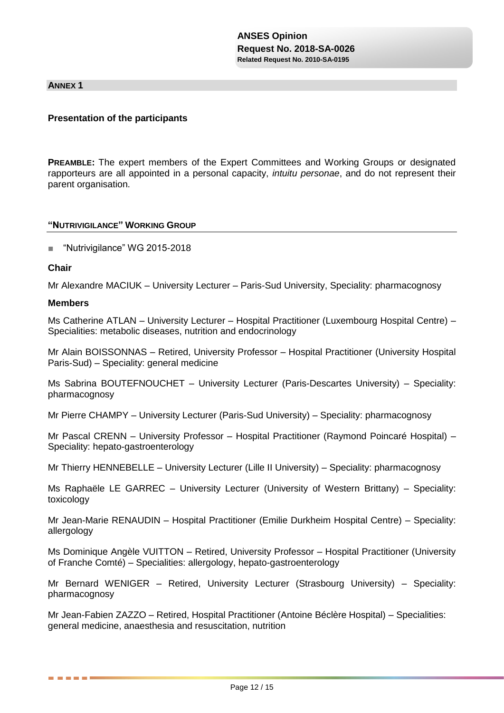#### **ANNEX 1**

### **Presentation of the participants**

**PREAMBLE:** The expert members of the Expert Committees and Working Groups or designated rapporteurs are all appointed in a personal capacity, *intuitu personae*, and do not represent their parent organisation.

#### **"NUTRIVIGILANCE" WORKING GROUP**

■ "Nutrivigilance" WG 2015-2018

#### **Chair**

Mr Alexandre MACIUK – University Lecturer – Paris-Sud University, Speciality: pharmacognosy

#### **Members**

------

Ms Catherine ATLAN – University Lecturer – Hospital Practitioner (Luxembourg Hospital Centre) – Specialities: metabolic diseases, nutrition and endocrinology

Mr Alain BOISSONNAS – Retired, University Professor – Hospital Practitioner (University Hospital Paris-Sud) – Speciality: general medicine

Ms Sabrina BOUTEFNOUCHET – University Lecturer (Paris-Descartes University) – Speciality: pharmacognosy

Mr Pierre CHAMPY – University Lecturer (Paris-Sud University) – Speciality: pharmacognosy

Mr Pascal CRENN – University Professor – Hospital Practitioner (Raymond Poincaré Hospital) – Speciality: hepato-gastroenterology

Mr Thierry HENNEBELLE – University Lecturer (Lille II University) – Speciality: pharmacognosy

Ms Raphaële LE GARREC – University Lecturer (University of Western Brittany) – Speciality: toxicology

Mr Jean-Marie RENAUDIN – Hospital Practitioner (Emilie Durkheim Hospital Centre) – Speciality: allergology

Ms Dominique Angèle VUITTON – Retired, University Professor – Hospital Practitioner (University of Franche Comté) – Specialities: allergology, hepato-gastroenterology

Mr Bernard WENIGER – Retired, University Lecturer (Strasbourg University) – Speciality: pharmacognosy

Mr Jean-Fabien ZAZZO – Retired, Hospital Practitioner (Antoine Béclère Hospital) – Specialities: general medicine, anaesthesia and resuscitation, nutrition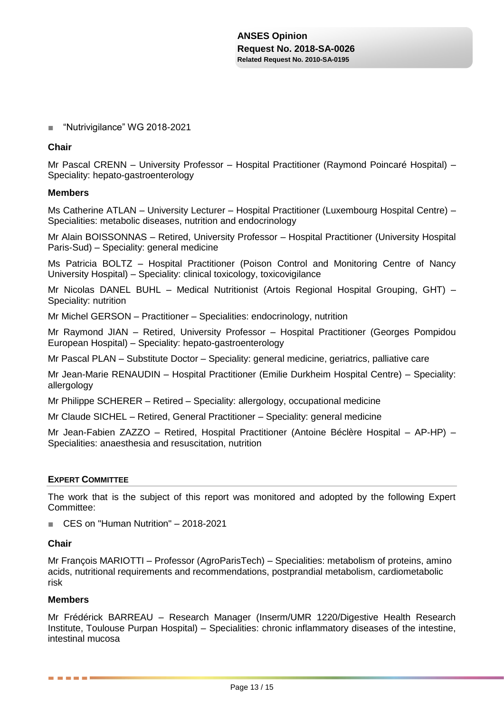### ■ "Nutrivigilance" WG 2018-2021

#### **Chair**

Mr Pascal CRENN – University Professor – Hospital Practitioner (Raymond Poincaré Hospital) – Speciality: hepato-gastroenterology

#### **Members**

Ms Catherine ATLAN – University Lecturer – Hospital Practitioner (Luxembourg Hospital Centre) – Specialities: metabolic diseases, nutrition and endocrinology

Mr Alain BOISSONNAS – Retired, University Professor – Hospital Practitioner (University Hospital Paris-Sud) – Speciality: general medicine

Ms Patricia BOLTZ – Hospital Practitioner (Poison Control and Monitoring Centre of Nancy University Hospital) – Speciality: clinical toxicology, toxicovigilance

Mr Nicolas DANEL BUHL – Medical Nutritionist (Artois Regional Hospital Grouping, GHT) – Speciality: nutrition

Mr Michel GERSON – Practitioner – Specialities: endocrinology, nutrition

Mr Raymond JIAN – Retired, University Professor – Hospital Practitioner (Georges Pompidou European Hospital) – Speciality: hepato-gastroenterology

Mr Pascal PLAN – Substitute Doctor – Speciality: general medicine, geriatrics, palliative care

Mr Jean-Marie RENAUDIN – Hospital Practitioner (Emilie Durkheim Hospital Centre) – Speciality: allergology

Mr Philippe SCHERER – Retired – Speciality: allergology, occupational medicine

Mr Claude SICHEL – Retired, General Practitioner – Speciality: general medicine

Mr Jean-Fabien ZAZZO – Retired, Hospital Practitioner (Antoine Béclère Hospital – AP-HP) – Specialities: anaesthesia and resuscitation, nutrition

#### **EXPERT COMMITTEE**

The work that is the subject of this report was monitored and adopted by the following Expert Committee:

■ CES on "Human Nutrition" – 2018-2021

#### **Chair**

Mr François MARIOTTI – Professor (AgroParisTech) – Specialities: metabolism of proteins, amino acids, nutritional requirements and recommendations, postprandial metabolism, cardiometabolic risk

#### **Members**

------

Mr Frédérick BARREAU – Research Manager (Inserm/UMR 1220/Digestive Health Research Institute, Toulouse Purpan Hospital) – Specialities: chronic inflammatory diseases of the intestine, intestinal mucosa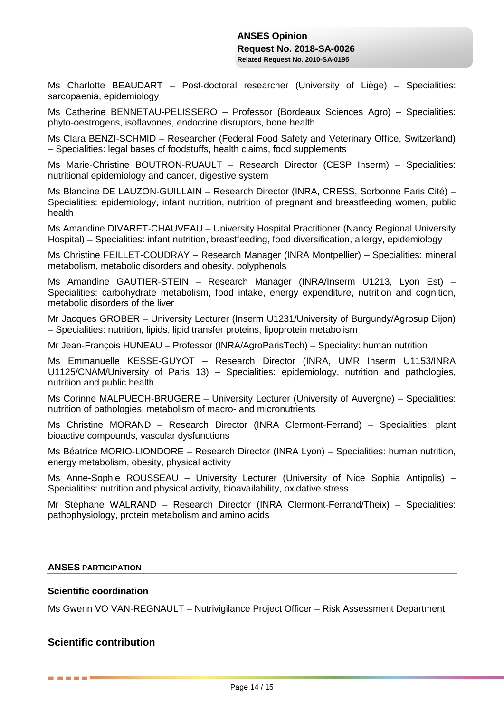Ms Charlotte BEAUDART – Post-doctoral researcher (University of Liège) – Specialities: sarcopaenia, epidemiology

Ms Catherine BENNETAU-PELISSERO – Professor (Bordeaux Sciences Agro) – Specialities: phyto-oestrogens, isoflavones, endocrine disruptors, bone health

Ms Clara BENZI-SCHMID – Researcher (Federal Food Safety and Veterinary Office, Switzerland) – Specialities: legal bases of foodstuffs, health claims, food supplements

Ms Marie-Christine BOUTRON-RUAULT – Research Director (CESP Inserm) – Specialities: nutritional epidemiology and cancer, digestive system

Ms Blandine DE LAUZON-GUILLAIN – Research Director (INRA, CRESS, Sorbonne Paris Cité) – Specialities: epidemiology, infant nutrition, nutrition of pregnant and breastfeeding women, public health

Ms Amandine DIVARET-CHAUVEAU – University Hospital Practitioner (Nancy Regional University Hospital) – Specialities: infant nutrition, breastfeeding, food diversification, allergy, epidemiology

Ms Christine FEILLET-COUDRAY – Research Manager (INRA Montpellier) – Specialities: mineral metabolism, metabolic disorders and obesity, polyphenols

Ms Amandine GAUTIER-STEIN – Research Manager (INRA/Inserm U1213, Lyon Est) – Specialities: carbohydrate metabolism, food intake, energy expenditure, nutrition and cognition, metabolic disorders of the liver

Mr Jacques GROBER – University Lecturer (Inserm U1231/University of Burgundy/Agrosup Dijon) – Specialities: nutrition, lipids, lipid transfer proteins, lipoprotein metabolism

Mr Jean-François HUNEAU – Professor (INRA/AgroParisTech) – Speciality: human nutrition

Ms Emmanuelle KESSE-GUYOT – Research Director (INRA, UMR Inserm U1153/INRA U1125/CNAM/University of Paris 13) – Specialities: epidemiology, nutrition and pathologies, nutrition and public health

Ms Corinne MALPUECH-BRUGERE – University Lecturer (University of Auvergne) – Specialities: nutrition of pathologies, metabolism of macro- and micronutrients

Ms Christine MORAND – Research Director (INRA Clermont-Ferrand) – Specialities: plant bioactive compounds, vascular dysfunctions

Ms Béatrice MORIO-LIONDORE – Research Director (INRA Lyon) – Specialities: human nutrition, energy metabolism, obesity, physical activity

Ms Anne-Sophie ROUSSEAU – University Lecturer (University of Nice Sophia Antipolis) – Specialities: nutrition and physical activity, bioavailability, oxidative stress

Mr Stéphane WALRAND – Research Director (INRA Clermont-Ferrand/Theix) – Specialities: pathophysiology, protein metabolism and amino acids

#### **ANSES PARTICIPATION**

#### **Scientific coordination**

Ms Gwenn VO VAN-REGNAULT – Nutrivigilance Project Officer – Risk Assessment Department

# **Scientific contribution**

------